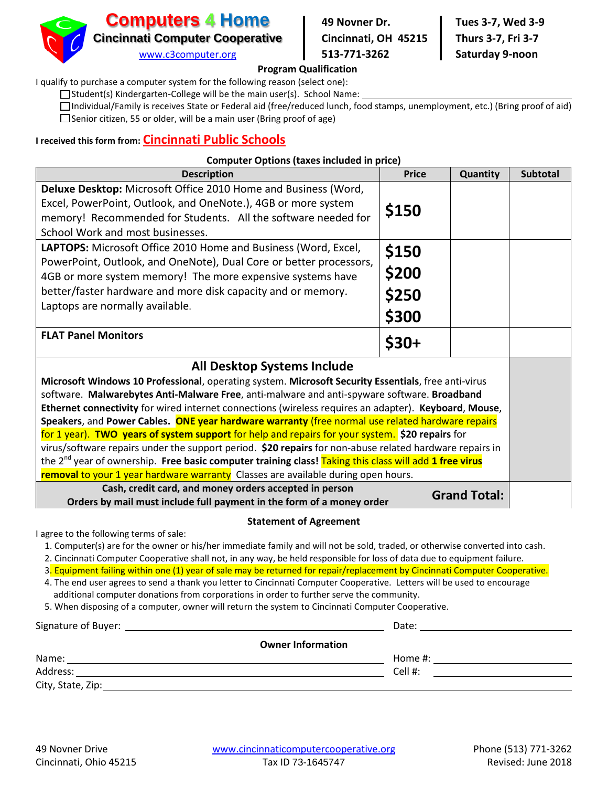

#### **Program Qualification**

I qualify to purchase a computer system for the following reason (select one):

 $\Box$  Student(s) Kindergarten-College will be the main user(s). School Name:

Individual/Family is receives State or Federal aid (free/reduced lunch, food stamps, unemployment, etc.) (Bring proof of aid)  $\Box$  Senior citizen, 55 or older, will be a main user (Bring proof of age)

## **I received this form from: Cincinnati Public Schools**

#### **Computer Options (taxes included in price)**

| <b>Description</b>                                                                                                                                                                               | <b>Price</b> | Quantity | <b>Subtotal</b> |
|--------------------------------------------------------------------------------------------------------------------------------------------------------------------------------------------------|--------------|----------|-----------------|
| Deluxe Desktop: Microsoft Office 2010 Home and Business (Word,<br>Excel, PowerPoint, Outlook, and OneNote.), 4GB or more system<br>memory! Recommended for Students. All the software needed for | \$150        |          |                 |
| School Work and most businesses.                                                                                                                                                                 |              |          |                 |
| LAPTOPS: Microsoft Office 2010 Home and Business (Word, Excel,                                                                                                                                   | \$150        |          |                 |
| PowerPoint, Outlook, and OneNote), Dual Core or better processors,<br>4GB or more system memory! The more expensive systems have                                                                 | \$200        |          |                 |
| better/faster hardware and more disk capacity and or memory.                                                                                                                                     | \$250        |          |                 |
| Laptops are normally available.                                                                                                                                                                  | \$300        |          |                 |
| <b>FLAT Panel Monitors</b>                                                                                                                                                                       | $$30+$       |          |                 |
| <b>All Desktop Systems Include</b>                                                                                                                                                               |              |          |                 |
| Microsoft Windows 10 Professional, operating system. Microsoft Security Essentials, free anti-virus                                                                                              |              |          |                 |
| software. Malwarebytes Anti-Malware Free, anti-malware and anti-spyware software. Broadband                                                                                                      |              |          |                 |
| Ethernet connectivity for wired internet connections (wireless requires an adapter). Keyboard, Mouse,                                                                                            |              |          |                 |
| Speakers, and Power Cables. ONE year hardware warranty (free normal use related hardware repairs                                                                                                 |              |          |                 |
| for 1 year). TWO years of system support for help and repairs for your system. \$20 repairs for                                                                                                  |              |          |                 |
| virus/software repairs under the support period. \$20 repairs for non-abuse related hardware repairs in                                                                                          |              |          |                 |
| the 2 <sup>nd</sup> year of ownership. Free basic computer training class! Taking this class will add 1 free virus                                                                               |              |          |                 |
| removal to your 1 year hardware warranty Classes are available during open hours.                                                                                                                |              |          |                 |
| Cash, credit card, and money orders accepted in person<br><b>Grand Total:</b><br>Orders by mail must include full payment in the form of a money order                                           |              |          |                 |

#### **Statement of Agreement**

I agree to the following terms of sale:

1. Computer(s) are for the owner or his/her immediate family and will not be sold, traded, or otherwise converted into cash.

2. Cincinnati Computer Cooperative shall not, in any way, be held responsible for loss of data due to equipment failure.

- 3. Equipment failing within one (1) year of sale may be returned for repair/replacement by Cincinnati Computer Cooperative.
- 4. The end user agrees to send a thank you letter to Cincinnati Computer Cooperative. Letters will be used to encourage additional computer donations from corporations in order to further serve the community.
- 5. When disposing of a computer, owner will return the system to Cincinnati Computer Cooperative.

| Signature of Buyer: | Date:                    |
|---------------------|--------------------------|
|                     | <b>Owner Information</b> |
| Name:               | Home #:                  |
| Address:            | Cell #:                  |
| City, State, Zip:   |                          |